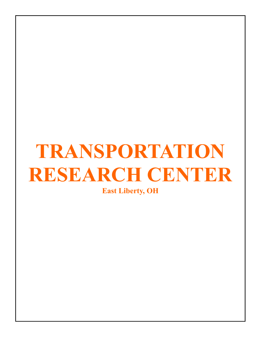# **TRANSPORTATION RESEARCH CENTER**

**East Liberty, OH**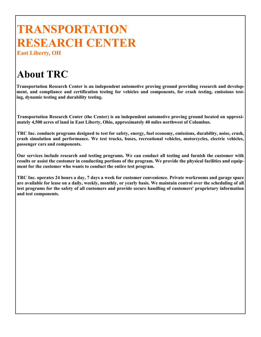## **TRANSPORTATION RESEARCH CENTER**

**East Liberty, OH** 

### **About TRC**

**Transportation Research Center is an independent automotive proving ground providing research and development, and compliance and certification testing for vehicles and components, for crash testing, emissions testing, dynamic testing and durability testing.** 

**Transportation Research Center (the Center) is an independent automotive proving ground located on approximately 4,500 acres of land in East Liberty, Ohio, approximately 40 miles northwest of Columbus.** 

**TRC Inc. conducts programs designed to test for safety, energy, fuel economy, emissions, durability, noise, crash, crash simulation and performance. We test trucks, buses, recreational vehicles, motorcycles, electric vehicles, passenger cars and components.** 

**Our services include research and testing programs. We can conduct all testing and furnish the customer with results or assist the customer in conducting portions of the program. We provide the physical facilities and equipment for the customer who wants to conduct the entire test program.** 

**TRC Inc. operates 24 hours a day, 7 days a week for customer convenience. Private workrooms and garage space are available for lease on a daily, weekly, monthly, or yearly basis. We maintain control over the scheduling of all test programs for the safety of all customers and provide secure handling of customers' proprietary information and test components.**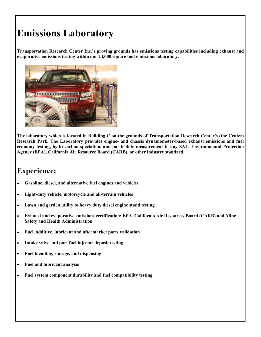### **Emissions Laboratory**

**Transportation Research Center Inc.'s proving grounds has emissions testing capabilities including exhaust and evaporative emissions testing within our 24,000 square foot emissions laboratory.** 



**The laboratory which is located in Building C on the grounds of Transportation Research Center's (the Center) Research Park. The Laboratory provides engine- and chassis dynamometer-based exhaust emissions and fuel economy testing, hydrocarbon speciation, and particulate measurement to any SAE, Environmental Protection Agency (EPA), California Air Resource Board (CARB), or other industry standard.** 

#### **Experience:**

- **Gasoline, diesel, and alternative fuel engines and vehicles**
- **Light-duty vehicle, motorcycle and all-terrain vehicles**
- **Lawn and garden utility to heavy duty diesel engine stand testing**
- **Exhaust and evaporative emissions certification: EPA, California Air Resources Board (CARB) and Mine Safety and Health Administration**
- **Fuel, additive, lubricant and aftermarket parts validation**
- **Intake valve and port fuel injector deposit testing**
- **Fuel blending, storage, and dispensing**
- **Fuel and lubricant analysis**
- **Fuel system component durability and fuel compatibility testing**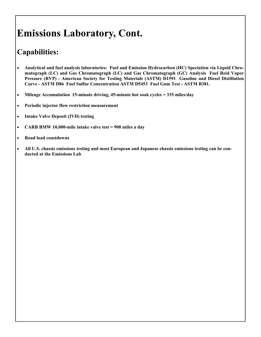### **Emissions Laboratory, Cont.**

#### **Capabilities:**

- **Analytical and fuel analysis laboratories: Fuel and Emission Hydrocarbon (HC) Speciation via Liquid Chromatograph (LC) and Gas Chromatograph (LC) and Gas Chromatograph (GC) Analysis Fuel Reid Vapor Pressure (RVP) - American Society for Testing Materials (ASTM) D1591 Gasoline and Diesel Distillation Curve - ASTM D86 Fuel Sulfur Concentration ASTM D5453 Fuel Gum Test - ASTM B381.**
- **Mileage Accumulation 15-minute driving, 45-minute hot soak cycles = 335 miles/day**
- **Periodic injector flow restriction measurement**
- **Intake Valve Deposit (IVD) testing**
- **CARB BMW 10,000-mile intake valve test = 900 miles a day**
- **Road load coastdowns**
- **All U.S. chassis emissions testing and most European and Japanese chassis emissions testing can be conducted at the Emissions Lab**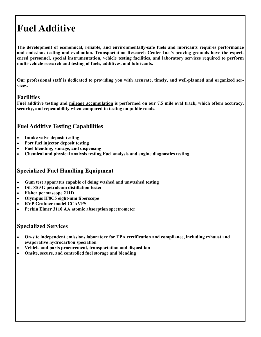### **Fuel Additive**

**The development of economical, reliable, and environmentally-safe fuels and lubricants requires performance and emissions testing and evaluation. Transportation Research Center Inc.'s proving grounds have the experienced personnel, special instrumentation, vehicle testing facilities, and laboratory services required to perform multi-vehicle research and testing of fuels, additives, and lubricants.** 

**Our professional staff is dedicated to providing you with accurate, timely, and well-planned and organized services.** 

#### **Facilities**

**Fuel additive testing and mileage accumulation is performed on our 7.5 mile oval track, which offers accuracy, security, and repeatability when compared to testing on public roads.** 

#### **Fuel Additive Testing Capabilities**

- **Intake valve deposit testing**
- **Port fuel injector deposit testing**
- **Fuel blending, storage, and dispensing**
- **Chemical and physical analysis testing Fuel analysis and engine diagnostics testing**

#### **Specialized Fuel Handling Equipment**

- **Gum test apparatus capable of doing washed and unwashed testing**
- **ISL 85 5G petroleum distillation tester**
- **Fisher permascope 211D**
- **Olympus IF8C5 eight-mm fiberscope**
- **RVP Grabner model CCAVPS**
- **Perkin Elmer 3110 AA atomic absorption spectrometer**

#### **Specialized Services**

- **On-site independent emissions laboratory for EPA certification and compliance, including exhaust and evaporative hydrocarbon speciation**
- **Vehicle and parts procurement, transportation and disposition**
- **Onsite, secure, and controlled fuel storage and blending**